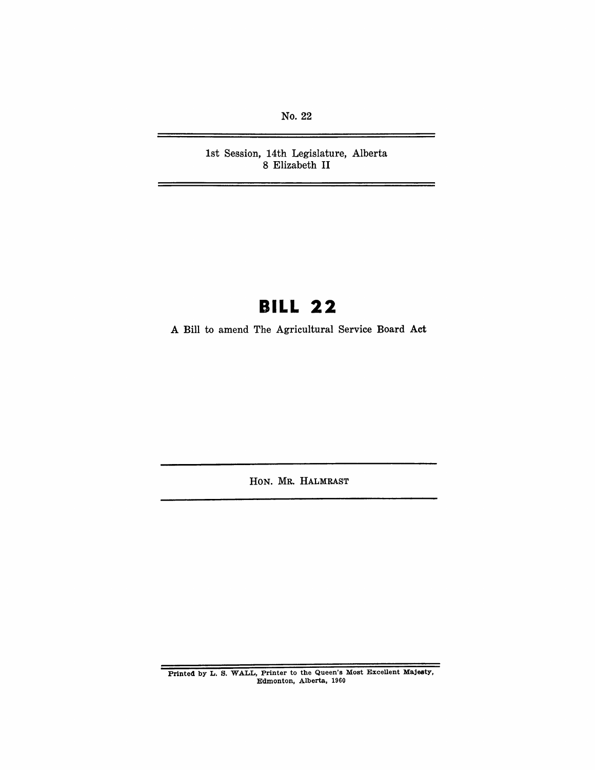No. 22

1st Session, 14th Legislature, Alberta 8 Elizabeth II

# **BILL 22**

A Bill to amend The Agricultural Service Board Act

HON. MR. HALMRAST

Printed by L. S. WALL, Printer to the Queen's Most Excellent Majesty, Edmonton, Alberta, 1960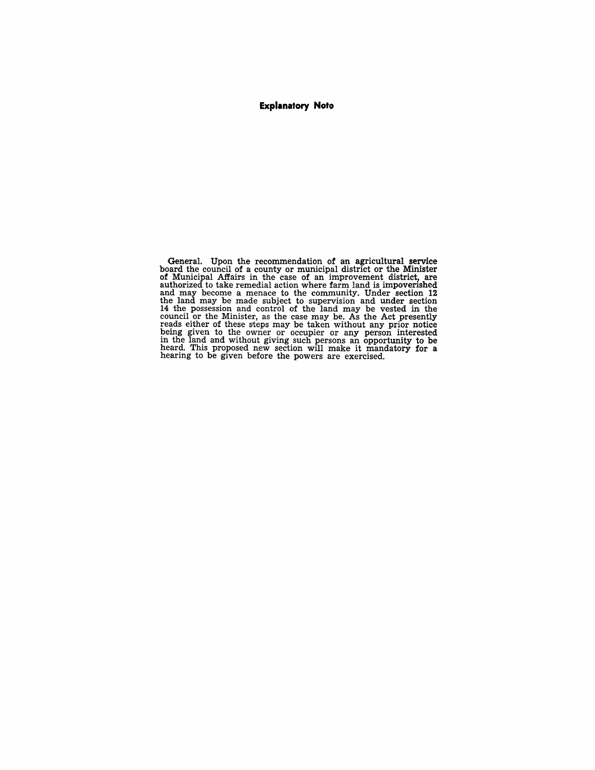#### **Explanatory Note**

General. Upon the recommendation of an agricultural service board the council of a county or municipal district or the Minister of Municipal Affairs in the case of an improvement district, are authorized to take remedial action where farm land is impoverished and may become a menace to the community. Under section 12 the land may be made subject to supervision and under section 14 the possession and control of the land may be vested in the council or the Minister, as the ease may be. As the Act presently reads either of these steps may be taken without any prior notice being given to the owner or occupier or any person interested<br>in the land and without giving such persons an opportunity to be<br>heard. This proposed new section will make it mandatory for a<br>hearing to be given before the po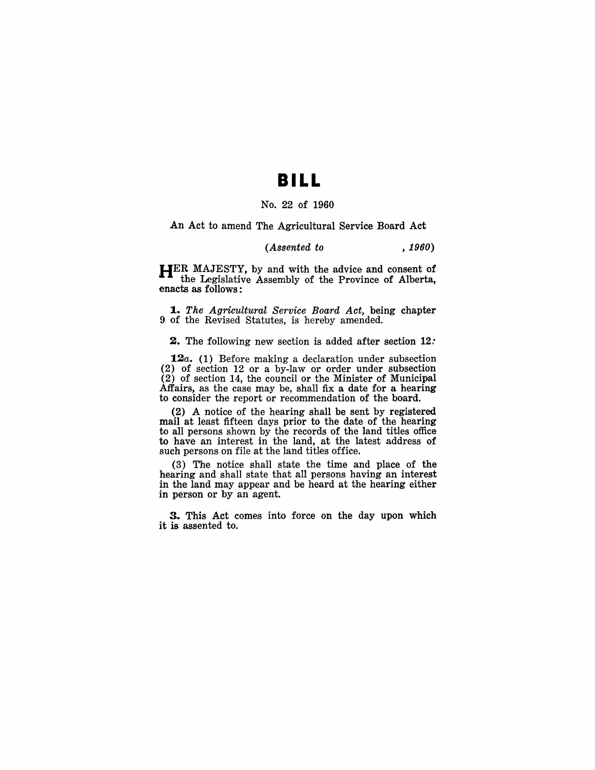## **BILL**

### No. 22 of 1960

An Act to amend The Agricultural Service Board Act

### *(Assented to , 1960)*

HER MAJESTY, by and with the advice and consent of the Legislative Assembly of the Province of Alberta, enacts as follows:

*1 .• The Agricultural Service Board Act,* being chapter 9 of the Revised Statutes, is hereby amended.

2. The following new section is added after section 12.

**12a.** (1) Before making a declaration under subsection (2) of section 12 or a by-law or order under subsection (2) of section 14, the council or the Minister of Municipal Affairs, as the case may be, shall fix a date for a hearing to consider the report or recommendation of the board.

(2) A notice of the hearing shall be sent by registered mail at least fifteen days prior to the date of the hearing to all persons shown by the records of the land titles office to have an interest in the land, at the latest address of such persons on file at the land titles office.

(3) The notice shall state the time and place of the hearing and shall state that all persons having an interest in the land may appear and be heard at the hearing either in person or by an agent.

3. This Act comes into force on the day upon which it is assented to.